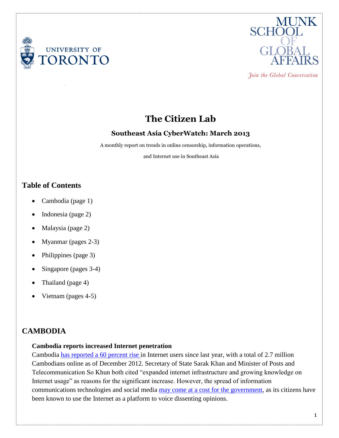



Join the Global Conversation

# **The Citizen Lab**

### **Southeast Asia CyberWatch: March 2013**

A monthly report on trends in online censorship, information operations,

and Internet use in Southeast Asia

# **Table of Contents**

- Cambodia (page 1)
- Indonesia (page 2)
- Malaysia (page 2)
- Myanmar (pages 2-3)
- Philippines (page 3)
- Singapore (pages 3-4)
- Thailand (page 4)
- Vietnam (pages 4-5)

# **CAMBODIA**

### **Cambodia reports increased Internet penetration**

Cambodia [has reported a 60 percent rise](http://www.shanghaidaily.com/article/article_xinhua.asp?id=130807) in Internet users since last year, with a total of 2.7 million Cambodians online as of December 2012. Secretary of State Sarak Khan and Minister of Posts and Telecommunication So Khun both cited "expanded internet infrastructure and growing knowledge on Internet usage" as reasons for the significant increase. However, the spread of information communications technologies and social media [may come at a cost for the government,](http://techpresident.com/news/wegov/23659/internet-civic-voices-cambodia-struggle-net-control?utm_source=twitterfeed&utm_medium=twitter&utm_campaign=Feed%3A+techpres+%28techPresident%29) as its citizens have been known to use the Internet as a platform to voice dissenting opinions.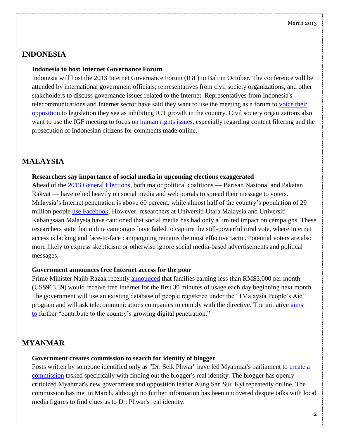### **INDONESIA**

#### **Indonesia to host Internet Governance Forum**

Indonesia will [host](http://www.thejakartapost.com/news/2013/03/02/ict-businesses-tackle-policy-global-forum-bali.html) the 2013 Internet Governance Forum (IGF) in Bali in October. The conference will be attended by international government officials, representatives from civil society organizations, and other stakeholders to discuss governance issues related to the Internet. Representatives from Indonesia's telecommunications and Internet sector have said they want to use the meeting as a forum to [voice their](http://www.thejakartapost.com/news/2013/03/02/ict-businesses-tackle-policy-global-forum-bali.html)  [opposition](http://www.thejakartapost.com/news/2013/03/02/ict-businesses-tackle-policy-global-forum-bali.html) to legislation they see as inhibiting ICT growth in the country. Civil society organizations also want to use the IGF meeting to focus on [human rights issues,](http://www.thejakartapost.com/news/2013/03/02/groups-urge-govt-uphold-human-rights-regulating-internet.html) especially regarding content filtering and the prosecution of Indonesian citizens for comments made online.

### **MALAYSIA**

#### **Researchers say importance of social media in upcoming elections exaggerated**

Ahead of the [2013 General Elections,](https://citizenlab.org/2012/11/southeast-asia-cyberwatch-october-2012/#malaysia) both major political coalitions — Barisan Nasional and Pakatan Rakyat — have relied heavily on social media and web portals to spread their message to voters. Malaysia's Internet penetration is above 60 percent, while almost half of the country's population of 29 million people [use Facebook.](http://www.socialbakers.com/facebook-statistics/malaysia) However, researchers at Universiti Utara Malaysia and Universiti Kebangsaan Malaysia have cautioned that social media has had only a limited impact on campaigns. These researchers state that online campaigns have failed to capture the still-powerful rural vote, where Internet access is lacking and face-to-face campaigning remains the most effective tactic. Potential voters are also more likely to express skepticism or otherwise ignore social media-based advertisements and political messages.

#### **Government announces free Internet access for the poor**

Prime Minister Najib Razak recently [announced](http://www.nst.com.my/nation/general/free-30-minutes-net-use-for-urban-and-rural-poor-1.238313) that families earning less than RM\$3,000 per month (US\$963.39) would receive free Internet for the first 30 minutes of usage each day beginning next month. The government will use an existing database of people registered under the "1Malaysia People's Aid" program and will ask telecommunications companies to comply with the directive. The initiative [aims](http://www.zdnet.com/my/malaysias-poor-to-receive-30-minutes-free-internet-7000012991/)  [to](http://www.zdnet.com/my/malaysias-poor-to-receive-30-minutes-free-internet-7000012991/) further "contribute to the country's growing digital penetration."

# **MYANMAR**

#### **Government creates commission to search for identity of blogger**

Posts written by someone identified only as "Dr. Seik Phwar" have led Myanmar's parliament to create a [commission](http://www.bangkokpost.com/news/investigation/339691/mystery-blogger-puts-spotlight-on-internet-freedom) tasked specifically with finding out the blogger's real identity. The blogger has openly criticized Myanmar's new government and opposition leader Aung San Suu Kyi repeatedly online. The commission has met in March, although no further information has been uncovered despite talks with local media figures to find clues as to Dr. Phwar's real identity.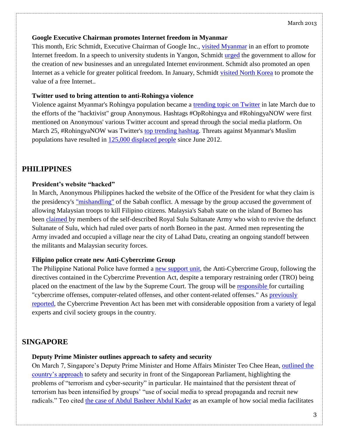#### March 2013

### **Google Executive Chairman promotes Internet freedom in Myanmar**

This month, Eric Schmidt, Executive Chairman of Google Inc., [visited Myanmar](http://www.reuters.com/article/2013/03/22/us-myanmar-google-idUSBRE92L0E420130322) in an effort to promote Internet freedom. In a speech to university students in Yangon, Schmidt [urged](http://www.guardian.co.uk/technology/2013/mar/22/google-eric-schmidt-burma-internet) the government to allow for the creation of new businesses and an unregulated Internet environment. Schmidt also promoted an open Internet as a vehicle for greater political freedom. In January, Schmidt [visited North Korea](http://www.businessweek.com/articles/2013-03-21/in-india-googles-eric-schmidt-explains-why-he-went-to-north-korea) to promote the value of a free Internet..

### **Twitter used to bring attention to anti-Rohingya violence**

Violence against Myanmar's Rohingya population became a [trending topic on Twitter](http://www.thedailybeast.com/articles/2013/03/27/how-anonymous-used-twitter-to-expose-the-rohingya-genocide.html) in late March due to the efforts of the "hacktivist" group Anonymous. Hashtags #OpRohingya and #RohingyaNOW were first mentioned on Anonymous' various Twitter account and spread through the social media platform. On March 25, #RohingyaNOW was Twitter's [top trending hashtag.](http://stream.aljazeera.com/story/201303252243-0022636) Threats against Myanmar's Muslim populations have resulted in [125,000 displaced people](http://www.hrw.org/news/2013/03/26/burma-rohingya-muslims-face-humanitarian-crisis) since June 2012.

# **PHILIPPINES**

### **President's website "hacked"**

In March, Anonymous Philippines hacked the website of the Office of the President for what they claim is the presidency's ["mishandling"](http://technology.inquirer.net/23793/palace-website-hacked-over-govt-mishandling-of-sabah-dispute) of the Sabah conflict. A message by the group accused the government of allowing Malaysian troops to kill Filipino citizens. Malaysia's Sabah state on the island of Borneo has been [claimed](http://www.thejakartaglobe.com/opinion/the-dispute-over-sabah/577044) by members of the self-described Royal Sulu Sultanate Army who wish to revive the defunct Sultanate of Sulu, which had ruled over parts of north Borneo in the past. Armed men representing the Army invaded and occupied a village near the city of Lahad Datu, creating an ongoing standoff between the militants and Malaysian security forces.

### **Filipino police create new Anti-Cybercrime Group**

The Philippine National Police have formed a [new support unit,](http://www.philstar.com/headlines/2013/03/20/922017/pnp-forms-anti-cybercrime-group-despite-tro) the Anti-Cybercrime Group, following the directives contained in the Cybercrime Prevention Act, despite a temporary restraining order (TRO) being placed on the enactment of the law by the Supreme Court. The group will be [responsible](http://www.gmanetwork.com/news/story/300244/scitech/technology/pnp-activates-anti-cybercrime-unit) for curtailing "cybercrime offenses, computer-related offenses, and other content-related offenses." As [previously](https://citizenlab.org/2012/11/southeast-asia-cyberwatch-october-2012/#philippines)  [reported,](https://citizenlab.org/2012/11/southeast-asia-cyberwatch-october-2012/#philippines) the Cybercrime Prevention Act has been met with considerable opposition from a variety of legal experts and civil society groups in the country.

# **SINGAPORE**

### **Deputy Prime Minister outlines approach to safety and security**

On March 7, Singapore's Deputy Prime Minister and Home Affairs Minister Teo Chee Hean, [outlined the](http://www.singaporeunited.sg/cep/index.php/Our-News/Speech-by-DPM-Teo-Chee-Hean-at-the-Ministry-of-Home-Affairs-Committee-of-Supply-Debate-2013)  [country's approach](http://www.singaporeunited.sg/cep/index.php/Our-News/Speech-by-DPM-Teo-Chee-Hean-at-the-Ministry-of-Home-Affairs-Committee-of-Supply-Debate-2013) to safety and security in front of the Singaporean Parliament, highlighting the problems of "terrorism and cyber-security" in particular. He maintained that the persistent threat of terrorism has been intensified by groups' "use of social media to spread propaganda and recruit new radicals." Teo cited [the case of Abdul Basheer Abdul Kader](http://www.singaporeunited.sg/cep/index.php/Our-News/Speech-by-DPM-Teo-Chee-Hean-at-the-Ministry-of-Home-Affairs-Committee-of-Supply-Debate-2013) as an example of how social media facilitates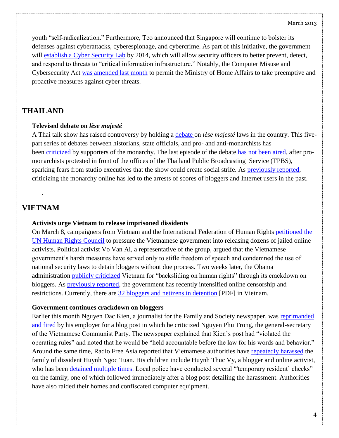youth "self-radicalization." Furthermore, Teo announced that Singapore will continue to bolster its defenses against cyberattacks, cyberespionage, and cybercrime. As part of this initiative, the government will [establish a Cyber Security Lab](http://www.zdnet.com/sg/singapore-to-open-cyber-security-lab-to-train-law-enforcers-7000012392/) by 2014, which will allow security officers to better prevent, detect, and respond to threats to "critical information infrastructure." Notably, the Computer Misuse and Cybersecurity Act [was amended last month](https://citizenlab.org/2013/02/southeast-asia-cyberwatch-january-2013-2/#singapore) to permit the Ministry of Home Affairs to take preemptive and proactive measures against cyber threats.

# **THAILAND**

### **Televised debate on** *lèse majesté*

A Thai talk show has raised controversy by holding a [debate](http://www.huffingtonpost.com/huff-wires/20130321/as-thailand-monarchy/?utm_hp_ref=homepage&ir=homepage) on *lèse majesté* laws in the country. This fivepart series of debates between historians, state officials, and pro- and anti-monarchists has been [criticized](http://www.irrawaddy.org/archives/29997) by supporters of the monarchy. The last episode of the debate [has not been aired,](http://pcij.org/blog/2013/03/22/one-step-forward-two-steps-back-with-thailands-lese-majeste-law) after promonarchists protested in front of the offices of the Thailand Public Broadcasting Service (TPBS), sparking fears from studio executives that the show could create social strife. As [previously reported,](https://citizenlab.org/2012/08/southeast-asia-cyberwatch-august-2012/#thailand) criticizing the monarchy online has led to the arrests of scores of bloggers and Internet users in the past.

# **VIETNAM**

.

### **Activists urge Vietnam to release imprisoned dissidents**

On March 8, campaigners from Vietnam and the International Federation of Human Rights [petitioned the](http://www.globalpost.com/dispatch/news/afp/130308/rights-campaigners-slam-vietnam-over-cyber-dissidents)  [UN Human Rights Council](http://www.globalpost.com/dispatch/news/afp/130308/rights-campaigners-slam-vietnam-over-cyber-dissidents) to pressure the Vietnamese government into releasing dozens of jailed online activists. Political activist Vo Van Ai, a representative of the group, argued that the Vietnamese government's harsh measures have served only to stifle freedom of speech and condemned the use of national security laws to detain bloggers without due process. Two weeks later, the Obama administration [publicly criticized](http://abcnews.go.com/US/wireStory/us-vietnam-backsliding-human-rights-18782834#.UVRjyuKY9D-) Vietnam for "backsliding on human rights" through its crackdown on bloggers. As [previously reported,](https://citizenlab.org/wp-admin/%22https:/citizenlab.org/2013/02/southeast-asia-cyberwatch-january-2013-2/#vietnam) the government has recently intensified online censorship and restrictions. Currently, there are [32 bloggers and netizens in detention](http://www.fidh.org/IMG/pdf/bloggers_report_in_english.pdf) [PDF] in Vietnam.

### **Government continues crackdown on bloggers**

Earlier this month Nguyen Dac Kien, a journalist for the Family and Society newspaper, was [reprimanded](http://www.irrawaddy.org/archives/29931)  [and fired](http://www.irrawaddy.org/archives/29931) by his employer for a blog post in which he criticized Nguyen Phu Trong, the general-secretary of the Vietnamese Communist Party. The newspaper explained that Kien's post had "violated the operating rules" and noted that he would be "held accountable before the law for his words and behavior." Around the same time, Radio Free Asia reported that Vietnamese authorities have [repeatedly harassed](http://www.rfa.org/english/news/vietnam/harassment-03212013181722.html) the family of dissident Huynh Ngoc Tuan. His children include Huynh Thuc Vy, a blogger and online activist, who has been [detained multiple times.](https://citizenlab.org/2012/07/southeast-asia-cyber-watch-july-2012/#vietnam) Local police have conducted several "temporary resident' checks" on the family, one of which followed immediately after a blog post detailing the harassment. Authorities have also raided their homes and confiscated computer equipment.